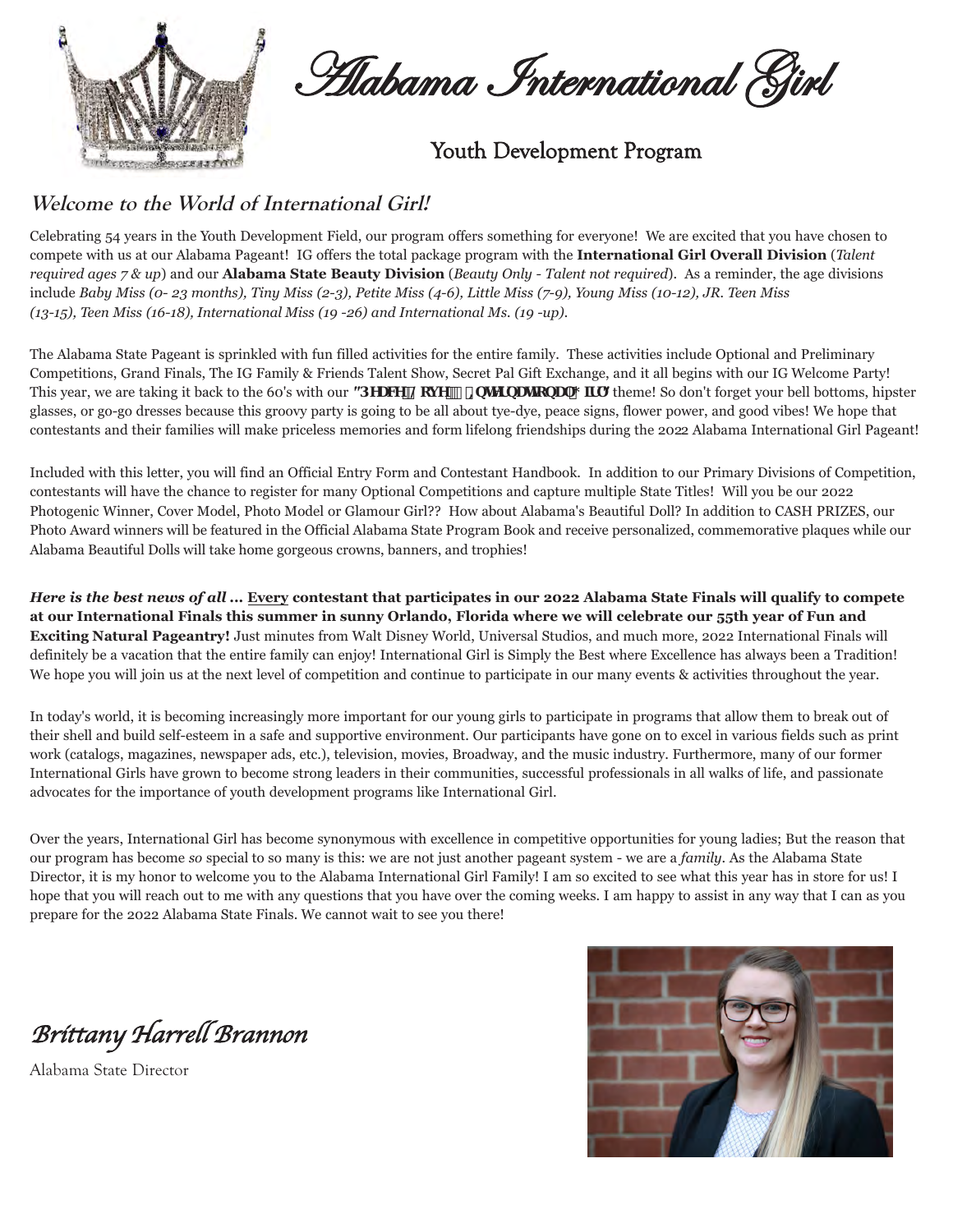

**Alabama International Girl** 

Youth Development Program

### **Welcome to the World of International Girl!**

Celebrating 54 years in the Youth Development Field, our program offers something for everyone! We are excited that you have chosen to compete with us at our Alabama Pageant! IG offers the total package program with the **International Girl Overall Division** (*Talent required ages 7 & up*) and our **Alabama State Beauty Division** (*Beauty Only - Talent not required*). As a reminder, the age divisions include *Baby Miss (0- 23 months), Tiny Miss (2-3), Petite Miss (4-6), Little Miss (7-9), Young Miss (10-12), JR. Teen Miss (13-15), Teen Miss (16-18), International Miss (19 -26) and International Ms. (19 -up).* 

The Alabama State Pageant is sprinkled with fun filled activities for the entire family. These activities include Optional and Preliminary Competitions, Grand Finals, The IG Family & Friends Talent Show, Secret Pal Gift Exchange, and it all begins with our IG Welcome Party! This year, we are taking it back to the 60's with our "*DMME@cj YE* = blirdDU; If " theme! So don't forget your bell bottoms, hipster glasses, or go-go dresses because this groovy party is going to be all about tye-dye, peace signs, flower power, and good vibes! We hope that contestants and their families will make priceless memories and form lifelong friendships during the 2022 Alabama International Girl Pageant!

Included with this letter, you will find an Official Entry Form and Contestant Handbook. In addition to our Primary Divisions of Competition, contestants will have the chance to register for many Optional Competitions and capture multiple State Titles! Will you be our 2022 Photogenic Winner, Cover Model, Photo Model or Glamour Girl?? How about Alabama's Beautiful Doll? In addition to CASH PRIZES, our Photo Award winners will be featured in the Official Alabama State Program Book and receive personalized, commemorative plaques while our Alabama Beautiful Dolls will take home gorgeous crowns, banners, and trophies!

*Here is the best news of all* **... Every contestant that participates in our 2022 Alabama State Finals will qualify to compete at our International Finals this summer in sunny Orlando, Florida where we will celebrate our 55th year of Fun and Exciting Natural Pageantry!** Just minutes from Walt Disney World, Universal Studios, and much more, 2022 International Finals will definitely be a vacation that the entire family can enjoy! International Girl is Simply the Best where Excellence has always been a Tradition! We hope you will join us at the next level of competition and continue to participate in our many events & activities throughout the year.

In today's world, it is becoming increasingly more important for our young girls to participate in programs that allow them to break out of their shell and build self-esteem in a safe and supportive environment. Our participants have gone on to excel in various fields such as print work (catalogs, magazines, newspaper ads, etc.), television, movies, Broadway, and the music industry. Furthermore, many of our former International Girls have grown to become strong leaders in their communities, successful professionals in all walks of life, and passionate advocates for the importance of youth development programs like International Girl.

Over the years, International Girl has become synonymous with excellence in competitive opportunities for young ladies; But the reason that our program has become *so* special to so many is this: we are not just another pageant system - we are a *family*. As the Alabama State Director, it is my honor to welcome you to the Alabama International Girl Family! I am so excited to see what this year has in store for us! I hope that you will reach out to me with any questions that you have over the coming weeks. I am happy to assist in any way that I can as you prepare for the 2022 Alabama State Finals. We cannot wait to see you there!

Brittany Harrell Brannon

Alabama State Director

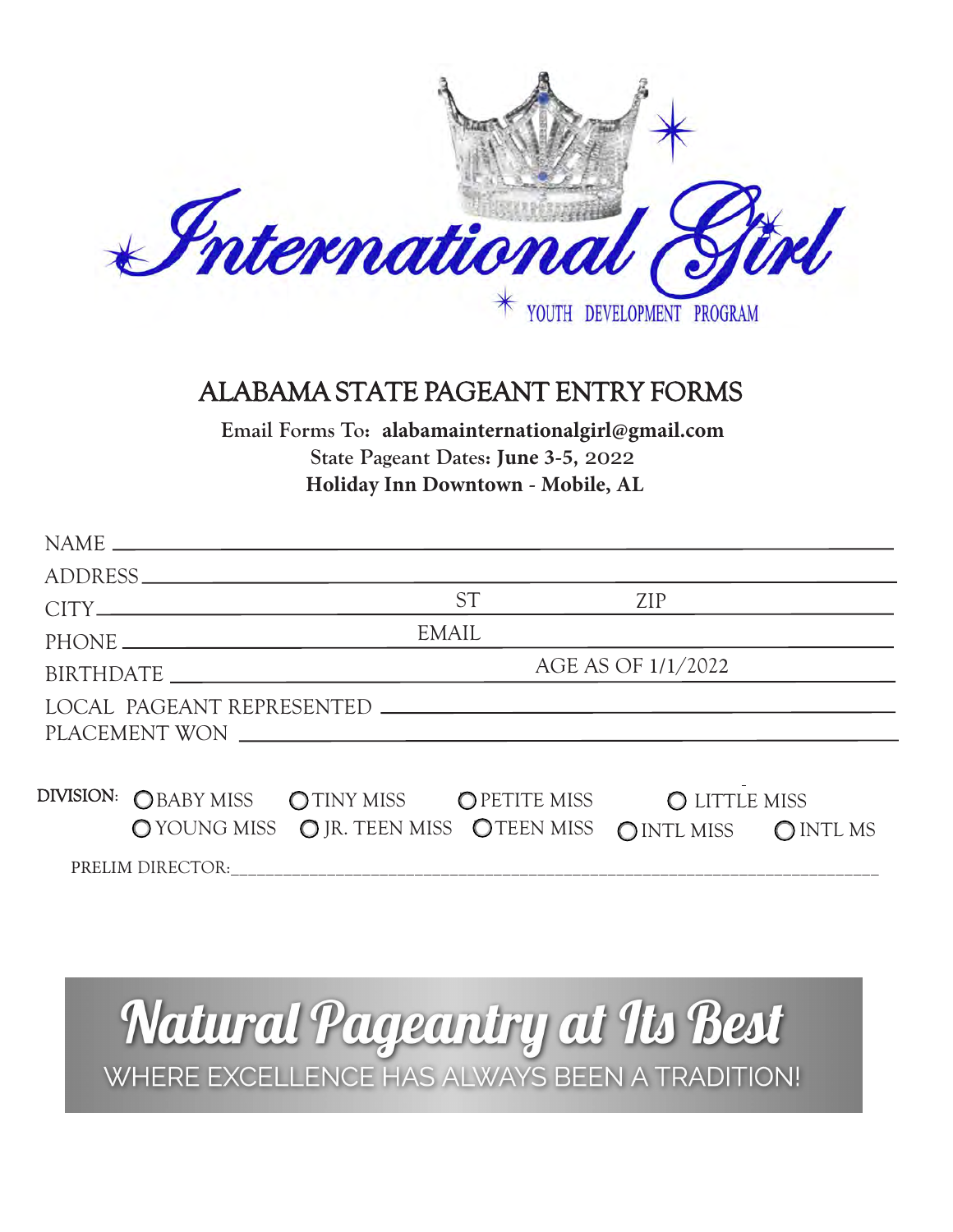

## ALABAMA STATE PAGEANT ENTRY FORMS

**Email Forms To: alabamainternationalgirl@gmail.com State Pageant Dates: June 3-5,** 2022 **Holiday Inn Downtown - Mobile, AL**

|               |                                                                                                                                                                                                                                                      | ADDRESS                                                     |           |            |  |
|---------------|------------------------------------------------------------------------------------------------------------------------------------------------------------------------------------------------------------------------------------------------------|-------------------------------------------------------------|-----------|------------|--|
|               |                                                                                                                                                                                                                                                      |                                                             | <b>ST</b> | <b>ZIP</b> |  |
|               |                                                                                                                                                                                                                                                      | <b>EMAIL</b>                                                |           |            |  |
|               | AGE AS OF 1/1/2022<br>BIRTHDATE LATE AND THE RESERVE TO A RESERVE THE RESERVE TO A REPORT OF THE RESERVE THAT A REPORT OF THE RESERVE THAT A REPORT OF THE RESERVE THAT A REPORT OF THE RESERVE THAT A REPORT OF THE RESERVE THAT A REPORT OF THE RE |                                                             |           |            |  |
|               |                                                                                                                                                                                                                                                      |                                                             |           |            |  |
| PLACEMENT WON |                                                                                                                                                                                                                                                      |                                                             |           |            |  |
|               |                                                                                                                                                                                                                                                      |                                                             |           |            |  |
| DIVISION:     |                                                                                                                                                                                                                                                      | OBABY MISS OTINY MISS OPETITE MISS OLITTLE MISS             |           |            |  |
|               |                                                                                                                                                                                                                                                      | O YOUNG MISS O JR. TEEN MISS OTEEN MISS OINTL MISS OINTL MS |           |            |  |
|               |                                                                                                                                                                                                                                                      |                                                             |           |            |  |

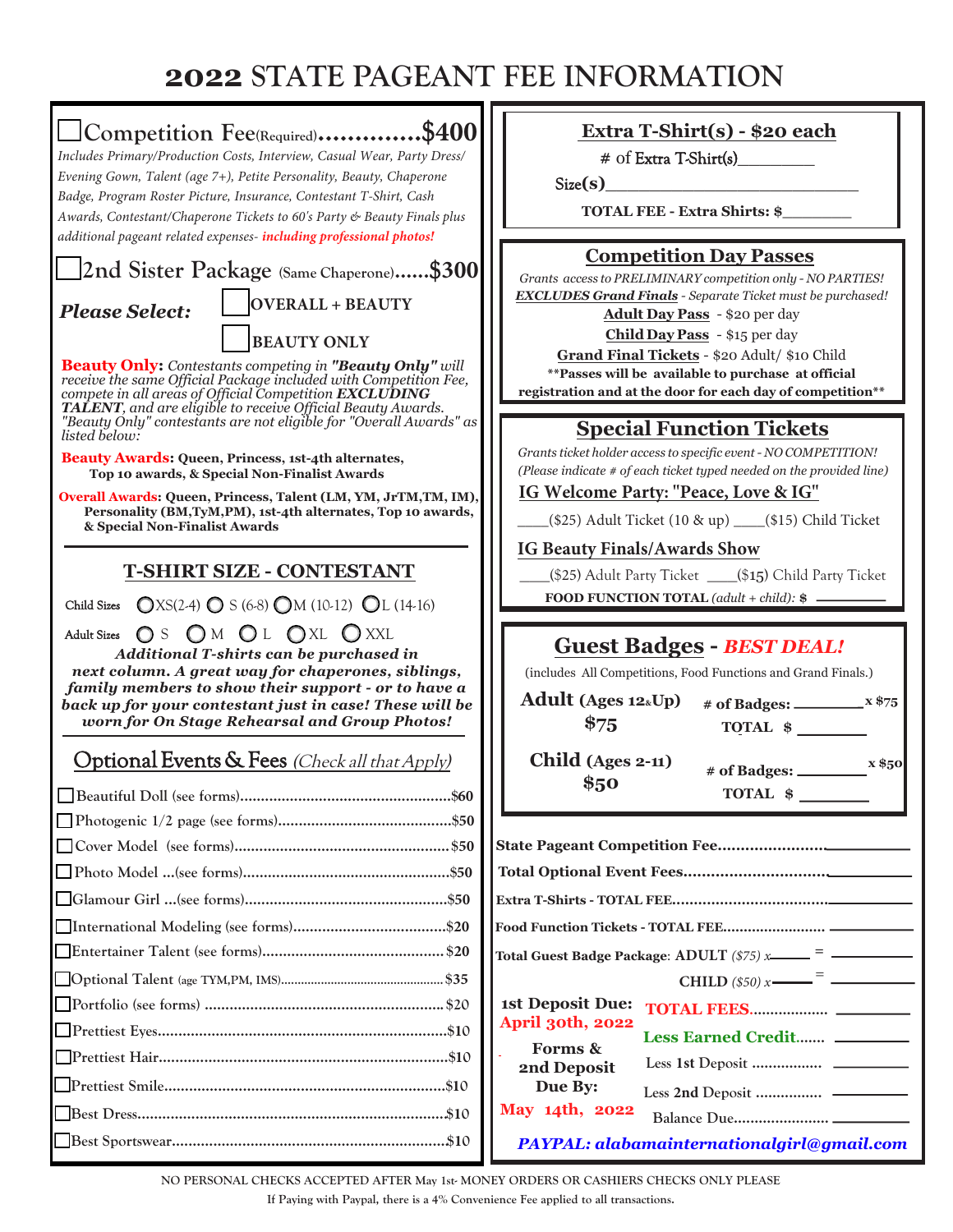## **2022 STATE PAGEANT FEE INFORMATION**



**NO PERSONAL CHECKS ACCEPTED AFTER May 1st- MONEY ORDERS OR CASHIERS CHECKS ONLY PLEASE**

**If Paying with Paypal, there is a 4% Convenience Fee applied to all transactions.**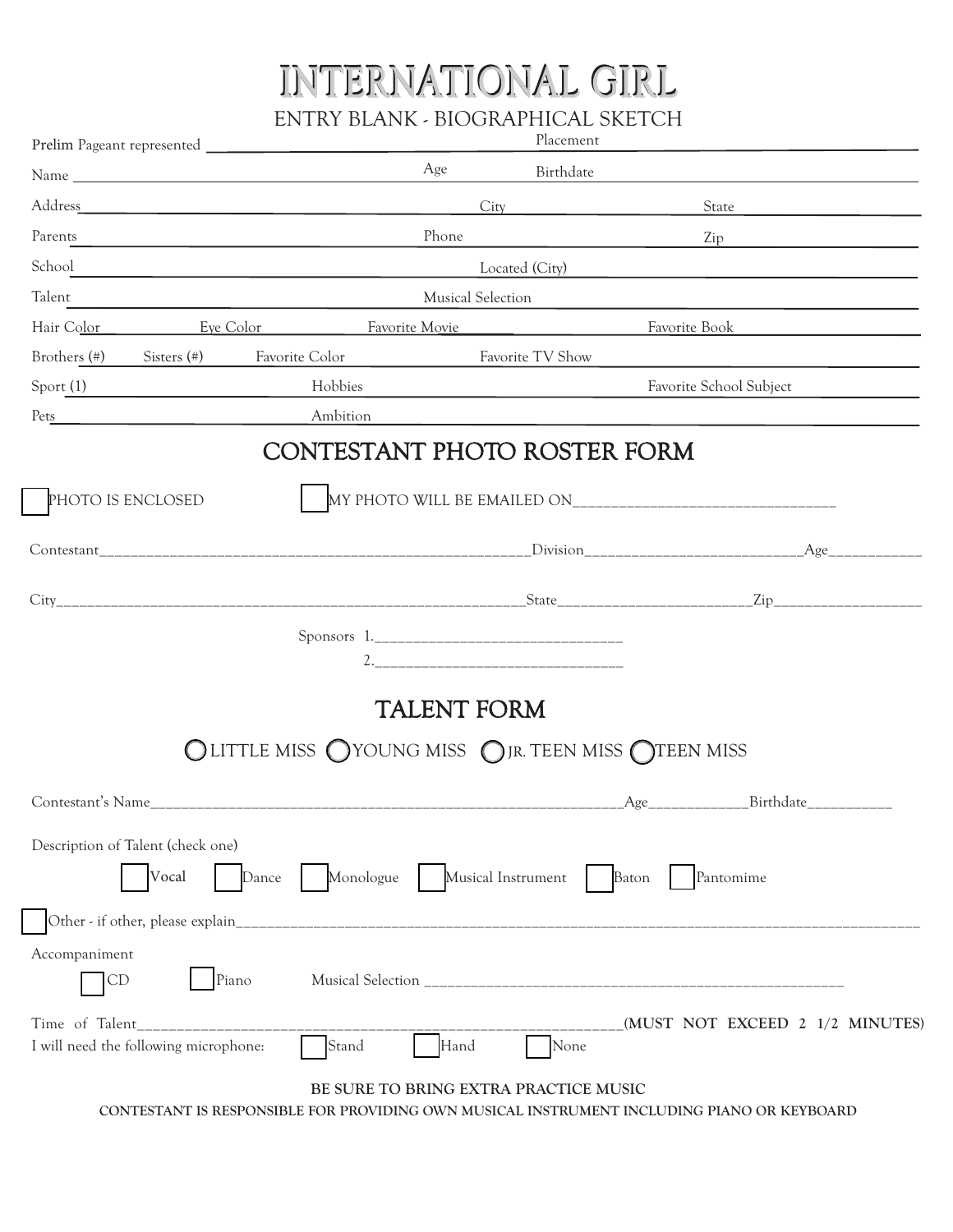# INTERNATIONAL GIRL

ENTRY BLANK - BIOGRAPHICAL SKETCH

|                                                                                                                                                                                                                                                                                |                                                                                                                      | Placement                   |                                 |
|--------------------------------------------------------------------------------------------------------------------------------------------------------------------------------------------------------------------------------------------------------------------------------|----------------------------------------------------------------------------------------------------------------------|-----------------------------|---------------------------------|
|                                                                                                                                                                                                                                                                                | Age                                                                                                                  | Birthdate                   |                                 |
|                                                                                                                                                                                                                                                                                |                                                                                                                      |                             | State                           |
| Parents                                                                                                                                                                                                                                                                        | Phone                                                                                                                |                             | Zip                             |
| School <u>and a second contract of the second contract of the second contract of the second contract of the second</u>                                                                                                                                                         |                                                                                                                      |                             | Located (City)                  |
| Talent                                                                                                                                                                                                                                                                         |                                                                                                                      | Musical Selection           |                                 |
| Hair Color <u>Eye Color</u> Eventual Execution Eavorite Movie                                                                                                                                                                                                                  |                                                                                                                      |                             | Favorite Book                   |
| Brothers (#)<br>Sisters $(*)$                                                                                                                                                                                                                                                  | Favorite Color                                                                                                       | Favorite TV Show            |                                 |
| Sport(1)<br><u> 1990 - Johann Barbara, politik eta politik eta politik eta politik eta politik eta politik eta politik eta p</u>                                                                                                                                               | Hobbies                                                                                                              |                             | Favorite School Subject         |
| $Pets$ and $Pets$ and $Pets$ and $Pets$ are $Pets$ and $Pets$ are $Pets$ and $Pets$ are $Pets$ and $Pets$ are $Pets$ and $Pets$ are $Pets$ and $Pets$ are $Pets$ and $Pets$ are $Pets$ and $Pets$ are $Pets$ and $Pets$ are $Pets$ and $Pets$ are $Pets$ and $Pets$ are $Pets$ | Ambition                                                                                                             |                             |                                 |
|                                                                                                                                                                                                                                                                                | CONTESTANT PHOTO ROSTER FORM                                                                                         |                             |                                 |
| PHOTO IS ENCLOSED                                                                                                                                                                                                                                                              |                                                                                                                      |                             |                                 |
|                                                                                                                                                                                                                                                                                |                                                                                                                      |                             |                                 |
|                                                                                                                                                                                                                                                                                |                                                                                                                      |                             |                                 |
|                                                                                                                                                                                                                                                                                |                                                                                                                      |                             |                                 |
|                                                                                                                                                                                                                                                                                |                                                                                                                      |                             |                                 |
|                                                                                                                                                                                                                                                                                | <b>TALENT FORM</b>                                                                                                   |                             |                                 |
|                                                                                                                                                                                                                                                                                | OLITTLE MISS OYOUNG MISS OJR. TEEN MISS OTEEN MISS                                                                   |                             |                                 |
|                                                                                                                                                                                                                                                                                |                                                                                                                      |                             | Birthdate                       |
|                                                                                                                                                                                                                                                                                |                                                                                                                      |                             |                                 |
| Description of Talent (check one)<br>Vocal<br>Dance                                                                                                                                                                                                                            | Monologue                                                                                                            | Musical Instrument<br>Baton | Pantomime                       |
| Other - if other, please explain_                                                                                                                                                                                                                                              | <u> 1980 - Jan Bernard Bernard, mars and de la provincia de la provincia de la provincia de la provincia de la p</u> |                             |                                 |
| Accompaniment<br>Piano<br>CD                                                                                                                                                                                                                                                   |                                                                                                                      |                             |                                 |
| Time of Talent_<br>I will need the following microphone:                                                                                                                                                                                                                       | Hand<br>Stand                                                                                                        | None                        | (MUST NOT EXCEED 2 1/2 MINUTES) |
|                                                                                                                                                                                                                                                                                | BE SURE TO BRING EXTRA PRACTICE MUSIC                                                                                |                             |                                 |

**CONTESTANT IS RESPONSIBLE FOR PROVIDING OWN MUSICAL INSTRUMENT INCLUDING PIANO OR KEYBOARD**

ſ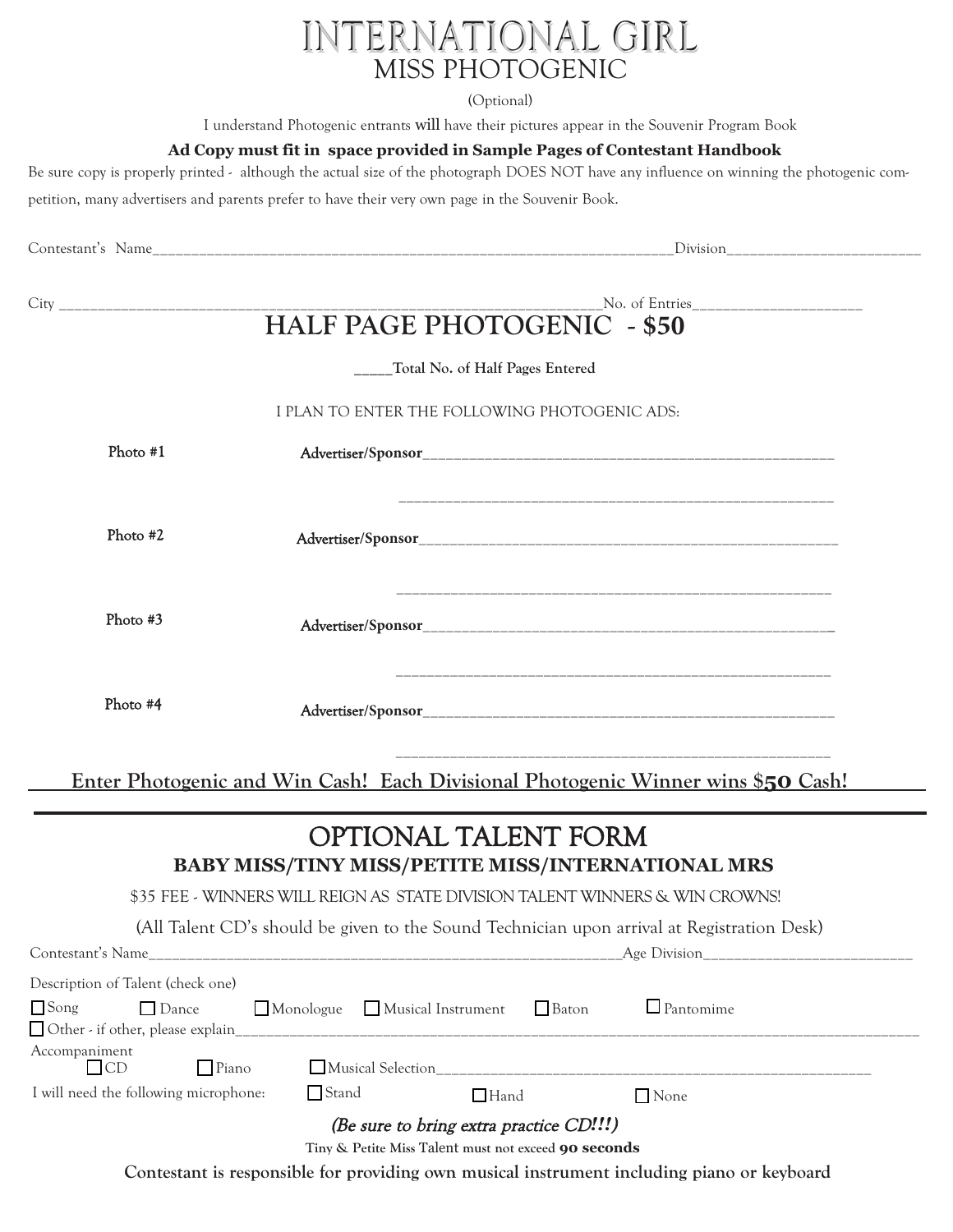# INTERNATIONAL GIRL MISS PHOTOGENIC

(Optional)

I understand Photogenic entrants will have their pictures appear in the Souvenir Program Book

#### **Ad Copy must fit in space provided in Sample Pages of Contestant Handbook**

Be sure copy is properly printed - although the actual size of the photograph DOES NOT have any influence on winning the photogenic competition, many advertisers and parents prefer to have their very own page in the Souvenir Book.

| <b>HALF PAGE PHOTOGENIC - \$50</b> |                                               |  |  |  |
|------------------------------------|-----------------------------------------------|--|--|--|
|                                    | ___Total No. of Half Pages Entered            |  |  |  |
|                                    | I PLAN TO ENTER THE FOLLOWING PHOTOGENIC ADS: |  |  |  |
| Photo #1                           |                                               |  |  |  |
| Photo $#2$                         |                                               |  |  |  |
| Photo #3                           |                                               |  |  |  |
| Photo #4                           |                                               |  |  |  |

**Enter Photogenic and Win Cash! Each Divisional Photogenic Winner wins \$50 Cash!**

\_\_\_\_\_\_\_\_\_\_\_\_\_\_\_\_\_\_\_\_\_\_\_\_\_\_\_\_\_\_\_\_\_\_\_\_\_\_\_\_\_\_\_\_\_\_\_\_\_\_\_\_\_\_\_\_

### OPTIONAL TALENT FORM **BABY MISS/TINY MISS/PETITE MISS/INTERNATIONAL MRS**

\$35 FEE - WINNERS WILL REIGN AS STATE DIVISION TALENT WINNERS & WIN CROWNS!

(All Talent CD's should be given to the Sound Technician upon arrival at Registration Desk)

| Contestant's Name                                       |                   | Age Division |  |                  |  |  |
|---------------------------------------------------------|-------------------|--------------|--|------------------|--|--|
| Description of Talent (check one)                       |                   |              |  |                  |  |  |
| □ Song → Dance → Monologue ■ Musical Instrument ■ Baton |                   |              |  | $\Box$ Pantomime |  |  |
| $\Box$ Other - if other, please explain                 |                   |              |  |                  |  |  |
| Accompaniment                                           |                   |              |  |                  |  |  |
| <b>LLCD</b><br>$\blacksquare$ Piano                     | Musical Selection |              |  |                  |  |  |
| I will need the following microphone:                   | <b>□</b> Stand    | $\Box$ Hand  |  | None             |  |  |
| (Be sure to bring extra practice CD!!!)                 |                   |              |  |                  |  |  |
| Tiny & Petite Miss Talent must not exceed 90 seconds    |                   |              |  |                  |  |  |

**Contestant is responsible for providing own musical instrument including piano or keyboard**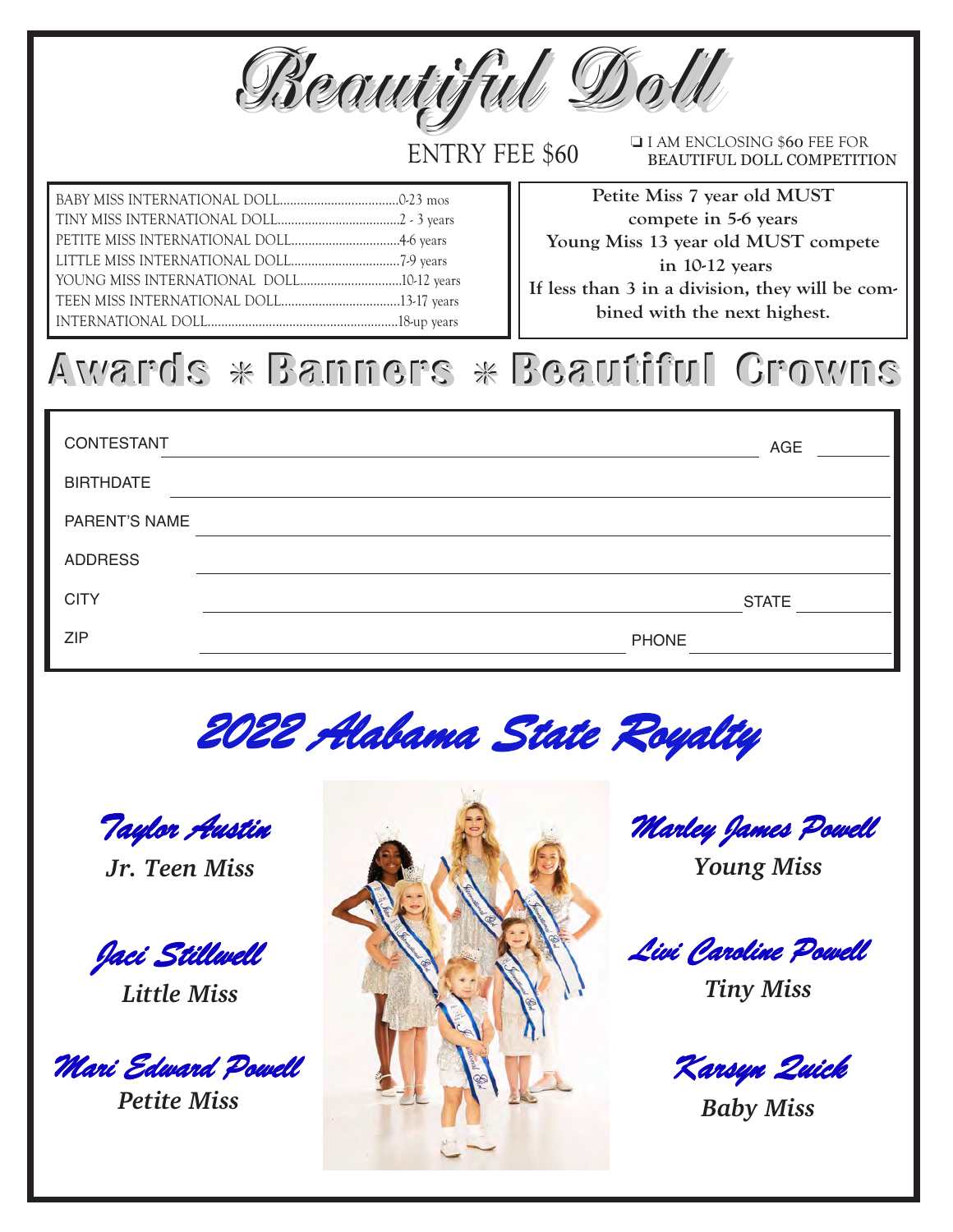*BBleeaauuttiiffuull DDoollll*

ENTRY FEE \$60

I I AM ENCLOSING \$60 FEE FOR BEAUTIFUL DOLL COMPETITION

BABY MISS INTERNATIONAL DOLL...................................0-23 mos TINY MISS INTERNATIONAL DOLL....................................2 - 3 years PETITE MISS INTERNATIONAL DOLL................................4-6 years LITTLE MISS INTERNATIONAL DOLL................................7-9 years YOUNG MISS INTERNATIONAL DOLL...............................10-12 years TEEN MISS INTERNATIONAL DOLL...................................13-17 years INTERNATIONAL DOLL........................................................18-up years

**Petite Miss 7 year old MUST compete in 5-6 years Young Miss 13 year old MUST compete in 10-12 years If less than 3 in a division, they will be combined with the next highest.**

# **Awards** g **Banners Banners** g **Beautiful Crowns Beautiful Crowns**

| CONTESTANT       | AGE          |
|------------------|--------------|
| <b>BIRTHDATE</b> |              |
| PARENT'S NAME    |              |
| <b>ADDRESS</b>   |              |
| <b>CITY</b>      | <b>STATE</b> |
| <b>ZIP</b>       | <b>PHONE</b> |

*2022 Alabama State Royalty*

*Taylor Austin*

*Jr. Teen Miss*

*Jaci Stillwell*

*Little Miss*

*Mari Edward Powell*

*Petite Miss*



*Marley James Powell*

*Young Miss*

*Livi Caroline Powell*

*Tiny Miss*

*Karsyn Quick*

*Baby Miss*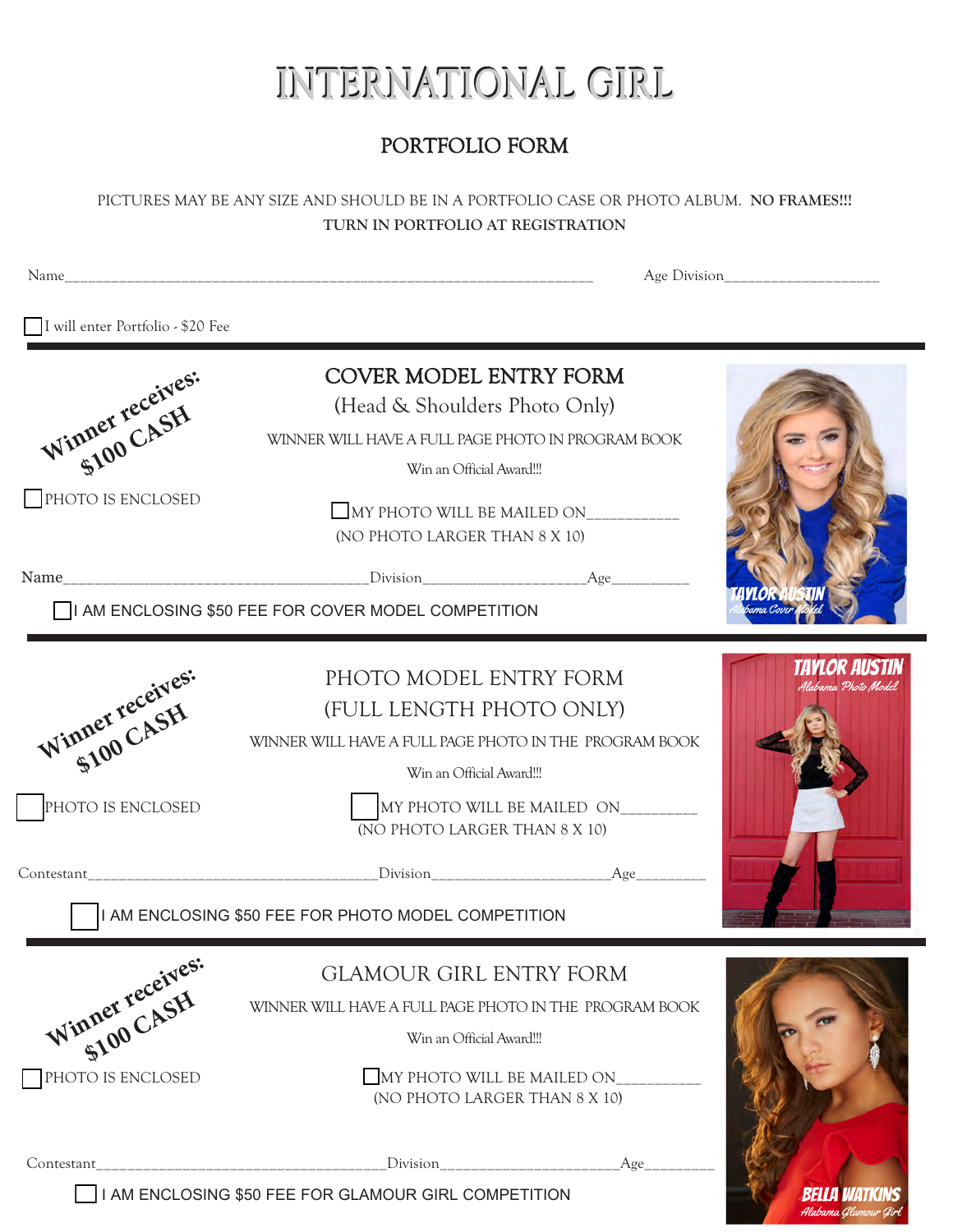# INTERNATIONAL GIRL

### PORTFOLIO FORM

PICTURES MAY BE ANY SIZE AND SHOULD BE IN A PORTFOLIO CASE OR PHOTO ALBUM. **NO FRAMES!!! TURN IN PORTFOLIO AT REGISTRATION** 

Name\_\_\_\_\_\_\_\_\_\_\_\_\_\_\_\_\_\_\_\_\_\_\_\_\_\_\_\_\_\_\_\_\_\_\_\_\_\_\_\_\_\_\_\_\_\_\_\_\_\_\_\_\_\_\_\_\_\_\_\_\_\_\_\_\_\_\_\_ Age Division\_\_\_\_\_\_\_\_\_\_\_\_\_\_\_\_\_\_\_\_ I will enter Portfolio - \$20 Fee COVER MODEL ENTRY FORM Winner receives: (Head & Shoulders Photo Only) ner recept<sub>1</sub> WINNER WILL HAVE A FULL PAGE PHOTO IN PROGRAM BOOK Win an Official Award!!! PHOTO IS ENCLOSED  $\square$  MY PHOTO WILL BE MAILED ON (NO PHOTO LARGER THAN 8 X 10) Name\_\_\_\_\_\_\_\_\_\_\_\_\_\_\_\_\_\_\_\_\_\_\_\_\_\_\_\_\_\_\_\_\_\_\_\_\_\_\_Division\_\_\_\_\_\_\_\_\_\_\_\_\_\_\_\_\_\_\_\_\_Age\_\_\_\_\_\_\_\_\_\_  $\Box$ I AM ENCLOSING \$50 FEE FOR COVER MODEL COMPETITION TAYLOR AUSTIN PHOTO MODEL ENTRY FORM Winner receives: (FULL LENGTH PHOTO ONLY) ner rec. SH WINNER WILL HAVE A FULL PAGE PHOTO IN THE PROGRAM BOOK Win an Official Award!!! PHOTO IS ENCLOSED MY PHOTO WILL BE MAILED ON (NO PHOTO LARGER THAN 8 X 10) Contestant **Contestant**  $\Box$ I AM ENCLOSING \$50 FEE FOR PHOTO MODEL COMPETITION Winner receives: GLAMOUR GIRL ENTRY FORM ner recept<sub>s</sub> WINNER WILL HAVE A FULL PAGE PHOTO IN THE PROGRAM BOOK Win an Official Award!!! PHOTO IS ENCLOSED MY PHOTO WILL BE MAILED ON (NO PHOTO LARGER THAN 8 X 10)

Contestant\_\_\_\_\_\_\_\_\_\_\_\_\_\_\_\_\_\_\_\_\_\_\_\_\_\_\_\_\_\_\_\_\_\_\_\_\_Division\_\_\_\_\_\_\_\_\_\_\_\_\_\_\_\_\_\_\_\_\_\_\_Age\_\_\_\_\_\_\_\_\_

**I I AM ENCLOSING \$50 FEE FOR GLAMOUR GIRL COMPETITION**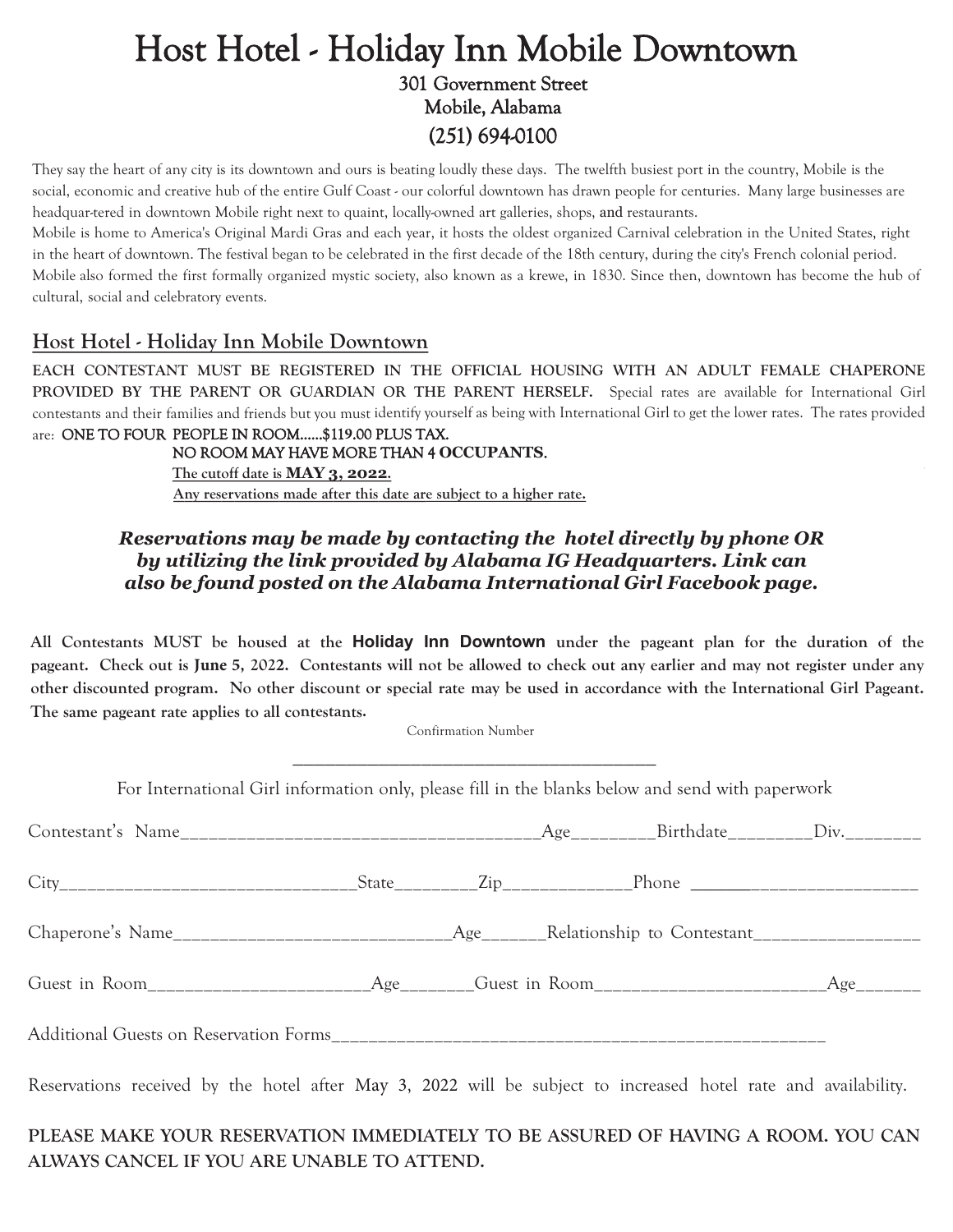### Host Hotel - Holiday Inn Mobile Downtown 301 Government Street Mobile, Alabama (251) 694-0100

They say the heart of any city is its downtown and ours is beating loudly these days. The twelfth busiest port in the country, Mobile is the social, economic and creative hub of the entire Gulf Coast - our colorful downtown has drawn people for centuries. Many large businesses are headquar-tered in downtown Mobile right next to quaint, locally-owned art galleries, shops, and restaurants.

Mobile is home to America's Original Mardi Gras and each year, it hosts the oldest organized Carnival celebration in the United States, right in the heart of downtown. The festival began to be celebrated in the first decade of the 18th century, during the city's French colonial period. Mobile also formed the first formally organized mystic society, also known as a krewe, in 1830. Since then, downtown has become the hub of cultural, social and celebratory events.

### **Host Hotel - Holiday Inn Mobile Downtown**

**EACH CONTESTANT MUST BE REGISTERED IN THE OFFICIAL HOUSING WITH AN ADULT FEMALE CHAPERONE PROVIDED BY THE PARENT OR GUARDIAN OR THE PARENT HERSELF.** Special rates are available for International Girl contestants and their families and friends but you must identify yourself as being with International Girl to get the lower rates. The rates provided

are: ONE TO FOUR PEOPLE IN ROOM......\$11**9**.00 PLUS TAX. NO ROOM MAY HAVE MORE THAN 4 **OCCUPANTS**. **The cutoff date is MAY 3, 2022. Any reservations made after this date are subject to a higher rate.**

#### *Reservations may be made by contacting the hotel directly by phone OR by utilizing the link provided by Alabama IG Headquarters. Link can also be found posted on the Alabama International Girl Facebook page.*

**All Contestants MUST be housed at the Holiday Inn Downtown under the pageant plan for the duration of the pageant. Check out is June 5, 2022. Contestants will not be allowed to check out any earlier and may not register under any other discounted program. No other discount or special rate may be used in accordance with the International Girl Pageant. The same pageant rate applies to all contestants.** 

Confirmation Number

For International Girl information only, please fill in the blanks below and send with paperwork

Reservations received by the hotel after May <sup>3</sup>, 2022 will be subject to increased hotel rate and availability.

### **PLEASE MAKE YOUR RESERVATION IMMEDIATELY TO BE ASSURED OF HAVING A ROOM. YOU CAN ALWAYS CANCEL IF YOU ARE UNABLE TO ATTEND.**